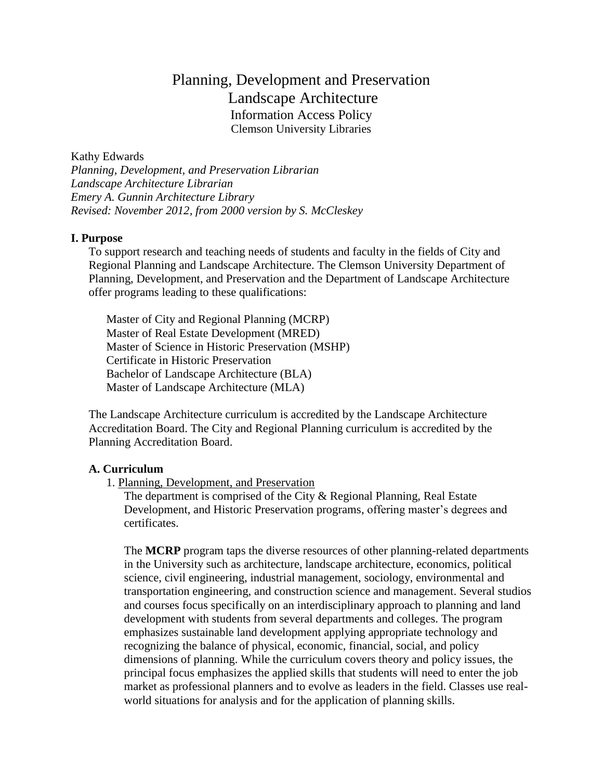# Planning, Development and Preservation Landscape Architecture Information Access Policy Clemson University Libraries

Kathy Edwards *Planning, Development, and Preservation Librarian Landscape Architecture Librarian Emery A. Gunnin Architecture Library Revised: November 2012, from 2000 version by S. McCleskey*

## **I. Purpose**

To support research and teaching needs of students and faculty in the fields of City and Regional Planning and Landscape Architecture. The Clemson University Department of Planning, Development, and Preservation and the Department of Landscape Architecture offer programs leading to these qualifications:

Master of City and Regional Planning (MCRP) Master of Real Estate Development (MRED) Master of Science in Historic Preservation (MSHP) Certificate in Historic Preservation Bachelor of Landscape Architecture (BLA) Master of Landscape Architecture (MLA)

The Landscape Architecture curriculum is accredited by the Landscape Architecture Accreditation Board. The City and Regional Planning curriculum is accredited by the Planning Accreditation Board.

#### **A. Curriculum**

#### 1. Planning, Development, and Preservation

The department is comprised of the City & Regional Planning, Real Estate Development, and Historic Preservation programs, offering master's degrees and certificates.

The **MCRP** program taps the diverse resources of other planning-related departments in the University such as architecture, landscape architecture, economics, political science, civil engineering, industrial management, sociology, environmental and transportation engineering, and construction science and management. Several studios and courses focus specifically on an interdisciplinary approach to planning and land development with students from several departments and colleges. The program emphasizes sustainable land development applying appropriate technology and recognizing the balance of physical, economic, financial, social, and policy dimensions of planning. While the curriculum covers theory and policy issues, the principal focus emphasizes the applied skills that students will need to enter the job market as professional planners and to evolve as leaders in the field. Classes use realworld situations for analysis and for the application of planning skills.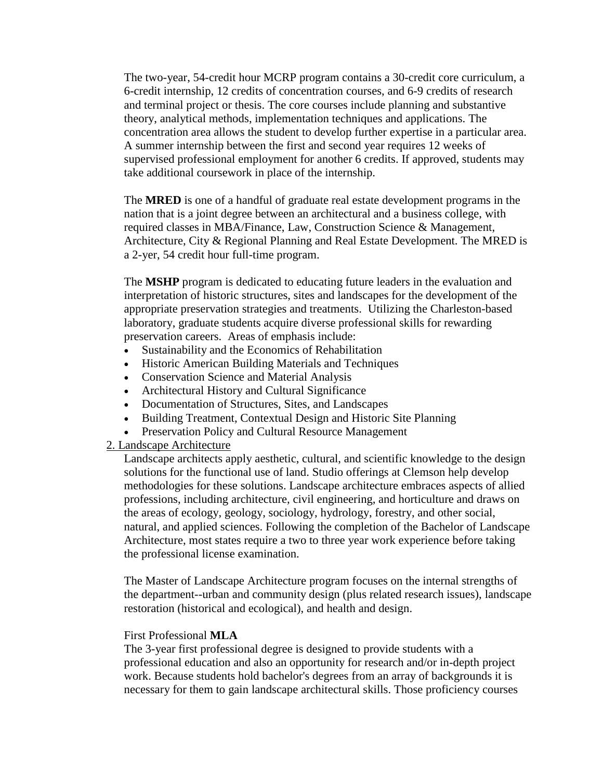The two-year, 54-credit hour MCRP program contains a 30-credit core curriculum, a 6-credit internship, 12 credits of concentration courses, and 6-9 credits of research and terminal project or thesis. The core courses include planning and substantive theory, analytical methods, implementation techniques and applications. The concentration area allows the student to develop further expertise in a particular area. A summer internship between the first and second year requires 12 weeks of supervised professional employment for another 6 credits. If approved, students may take additional coursework in place of the internship.

The **MRED** is one of a handful of graduate real estate development programs in the nation that is a joint degree between an architectural and a business college, with required classes in MBA/Finance, Law, Construction Science & Management, Architecture, City & Regional Planning and Real Estate Development. The MRED is a 2-yer, 54 credit hour full-time program.

The **MSHP** program is dedicated to educating future leaders in the evaluation and interpretation of historic structures, sites and landscapes for the development of the appropriate preservation strategies and treatments. Utilizing the Charleston-based laboratory, graduate students acquire diverse professional skills for rewarding preservation careers. Areas of emphasis include:

- Sustainability and the Economics of Rehabilitation
- Historic American Building Materials and Techniques
- Conservation Science and Material Analysis
- Architectural History and Cultural Significance
- Documentation of Structures, Sites, and Landscapes
- Building Treatment, Contextual Design and Historic Site Planning
- Preservation Policy and Cultural Resource Management

## 2. Landscape Architecture

Landscape architects apply aesthetic, cultural, and scientific knowledge to the design solutions for the functional use of land. Studio offerings at Clemson help develop methodologies for these solutions. Landscape architecture embraces aspects of allied professions, including architecture, civil engineering, and horticulture and draws on the areas of ecology, geology, sociology, hydrology, forestry, and other social, natural, and applied sciences. Following the completion of the Bachelor of Landscape Architecture, most states require a two to three year work experience before taking the professional license examination.

The Master of Landscape Architecture program focuses on the internal strengths of the department--urban and community design (plus related research issues), landscape restoration (historical and ecological), and health and design.

## First Professional **MLA**

The 3-year first professional degree is designed to provide students with a professional education and also an opportunity for research and/or in-depth project work. Because students hold bachelor's degrees from an array of backgrounds it is necessary for them to gain landscape architectural skills. Those proficiency courses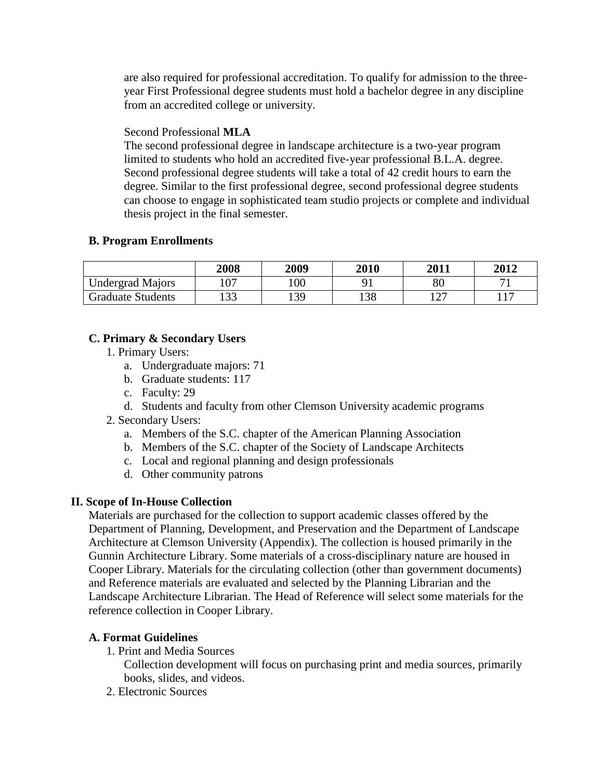are also required for professional accreditation. To qualify for admission to the threeyear First Professional degree students must hold a bachelor degree in any discipline from an accredited college or university.

## Second Professional **MLA**

The second professional degree in landscape architecture is a two-year program limited to students who hold an accredited five-year professional B.L.A. degree. Second professional degree students will take a total of 42 credit hours to earn the degree. Similar to the first professional degree, second professional degree students can choose to engage in sophisticated team studio projects or complete and individual thesis project in the final semester.

## **B. Program Enrollments**

|                          | 2008 | 2009 | 2010 | 2011                            | 2012           |
|--------------------------|------|------|------|---------------------------------|----------------|
| <b>Undergrad Majors</b>  | 107  | 100  |      | 80                              |                |
| <b>Graduate Students</b> | 133  | 139  | 138  | $1 \cap \Box$<br>$\overline{1}$ | 1 <sub>7</sub> |

## **C. Primary & Secondary Users**

- 1. Primary Users:
	- a. Undergraduate majors: 71
	- b. Graduate students: 117
	- c. Faculty: 29
	- d. Students and faculty from other Clemson University academic programs
- 2. Secondary Users:
	- a. Members of the S.C. chapter of the American Planning Association
	- b. Members of the S.C. chapter of the Society of Landscape Architects
	- c. Local and regional planning and design professionals
	- d. Other community patrons

## **II. Scope of In-House Collection**

Materials are purchased for the collection to support academic classes offered by the Department of Planning, Development, and Preservation and the Department of Landscape Architecture at Clemson University (Appendix). The collection is housed primarily in the Gunnin Architecture Library. Some materials of a cross-disciplinary nature are housed in Cooper Library. Materials for the circulating collection (other than government documents) and Reference materials are evaluated and selected by the Planning Librarian and the Landscape Architecture Librarian. The Head of Reference will select some materials for the reference collection in Cooper Library.

## **A. Format Guidelines**

1. Print and Media Sources

Collection development will focus on purchasing print and media sources, primarily books, slides, and videos.

2. Electronic Sources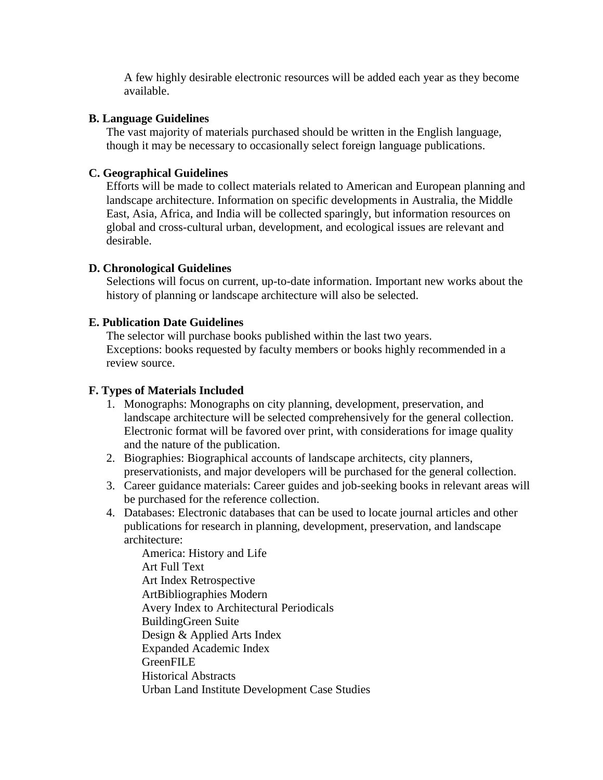A few highly desirable electronic resources will be added each year as they become available.

## **B. Language Guidelines**

The vast majority of materials purchased should be written in the English language, though it may be necessary to occasionally select foreign language publications.

## **C. Geographical Guidelines**

Efforts will be made to collect materials related to American and European planning and landscape architecture. Information on specific developments in Australia, the Middle East, Asia, Africa, and India will be collected sparingly, but information resources on global and cross-cultural urban, development, and ecological issues are relevant and desirable.

## **D. Chronological Guidelines**

Selections will focus on current, up-to-date information. Important new works about the history of planning or landscape architecture will also be selected.

## **E. Publication Date Guidelines**

The selector will purchase books published within the last two years. Exceptions: books requested by faculty members or books highly recommended in a review source.

## **F. Types of Materials Included**

- 1. Monographs: Monographs on city planning, development, preservation, and landscape architecture will be selected comprehensively for the general collection. Electronic format will be favored over print, with considerations for image quality and the nature of the publication.
- 2. Biographies: Biographical accounts of landscape architects, city planners, preservationists, and major developers will be purchased for the general collection.
- 3. Career guidance materials: Career guides and job-seeking books in relevant areas will be purchased for the reference collection.
- 4. Databases: Electronic databases that can be used to locate journal articles and other publications for research in planning, development, preservation, and landscape architecture:

America: History and Life Art Full Text Art Index Retrospective ArtBibliographies Modern Avery Index to Architectural Periodicals BuildingGreen Suite Design & Applied Arts Index Expanded Academic Index **GreenFILE** Historical Abstracts Urban Land Institute Development Case Studies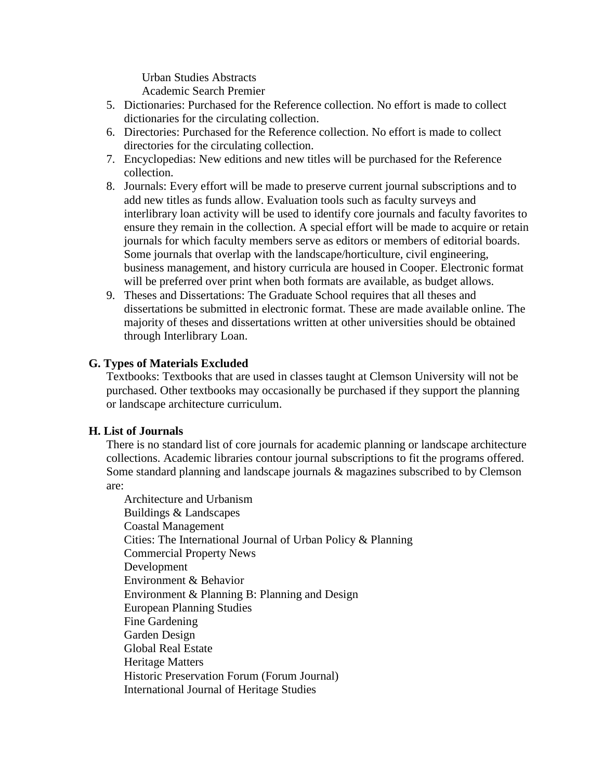Urban Studies Abstracts

Academic Search Premier

- 5. Dictionaries: Purchased for the Reference collection. No effort is made to collect dictionaries for the circulating collection.
- 6. Directories: Purchased for the Reference collection. No effort is made to collect directories for the circulating collection.
- 7. Encyclopedias: New editions and new titles will be purchased for the Reference collection.
- 8. Journals: Every effort will be made to preserve current journal subscriptions and to add new titles as funds allow. Evaluation tools such as faculty surveys and interlibrary loan activity will be used to identify core journals and faculty favorites to ensure they remain in the collection. A special effort will be made to acquire or retain journals for which faculty members serve as editors or members of editorial boards. Some journals that overlap with the landscape/horticulture, civil engineering, business management, and history curricula are housed in Cooper. Electronic format will be preferred over print when both formats are available, as budget allows.
- 9. Theses and Dissertations: The Graduate School requires that all theses and dissertations be submitted in electronic format. These are made available online. The majority of theses and dissertations written at other universities should be obtained through Interlibrary Loan.

## **G. Types of Materials Excluded**

Textbooks: Textbooks that are used in classes taught at Clemson University will not be purchased. Other textbooks may occasionally be purchased if they support the planning or landscape architecture curriculum.

## **H. List of Journals**

There is no standard list of core journals for academic planning or landscape architecture collections. Academic libraries contour journal subscriptions to fit the programs offered. Some standard planning and landscape journals & magazines subscribed to by Clemson are:

Architecture and Urbanism Buildings & Landscapes Coastal Management Cities: The International Journal of Urban Policy & Planning Commercial Property News Development Environment & Behavior Environment & Planning B: Planning and Design European Planning Studies Fine Gardening Garden Design Global Real Estate Heritage Matters Historic Preservation Forum (Forum Journal) International Journal of Heritage Studies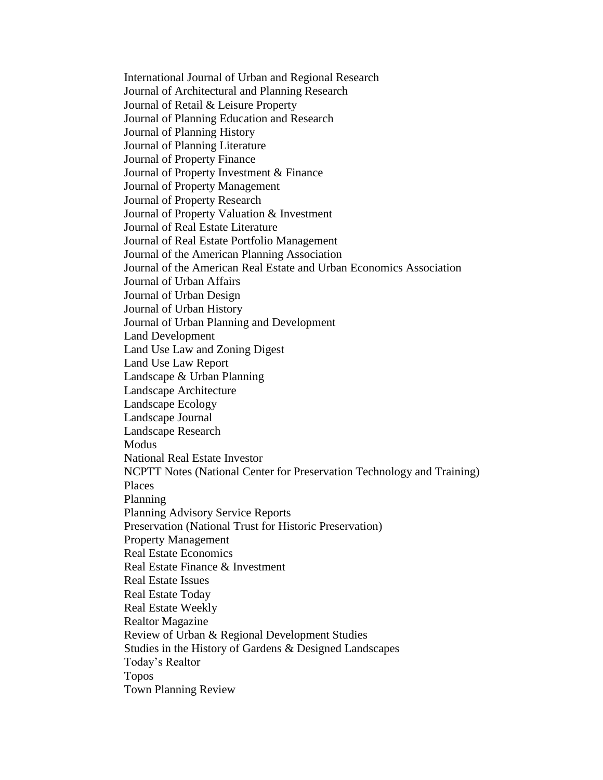International Journal of Urban and Regional Research Journal of Architectural and Planning Research Journal of Retail & Leisure Property Journal of Planning Education and Research Journal of Planning History Journal of Planning Literature Journal of Property Finance Journal of Property Investment & Finance Journal of Property Management Journal of Property Research Journal of Property Valuation & Investment Journal of Real Estate Literature Journal of Real Estate Portfolio Management Journal of the American Planning Association Journal of the American Real Estate and Urban Economics Association Journal of Urban Affairs Journal of Urban Design Journal of Urban History Journal of Urban Planning and Development Land Development Land Use Law and Zoning Digest Land Use Law Report Landscape & Urban Planning Landscape Architecture Landscape Ecology Landscape Journal Landscape Research **Modus** National Real Estate Investor NCPTT Notes (National Center for Preservation Technology and Training) Places Planning Planning Advisory Service Reports Preservation (National Trust for Historic Preservation) Property Management Real Estate Economics Real Estate Finance & Investment Real Estate Issues Real Estate Today Real Estate Weekly Realtor Magazine Review of Urban & Regional Development Studies Studies in the History of Gardens & Designed Landscapes Today's Realtor Topos Town Planning Review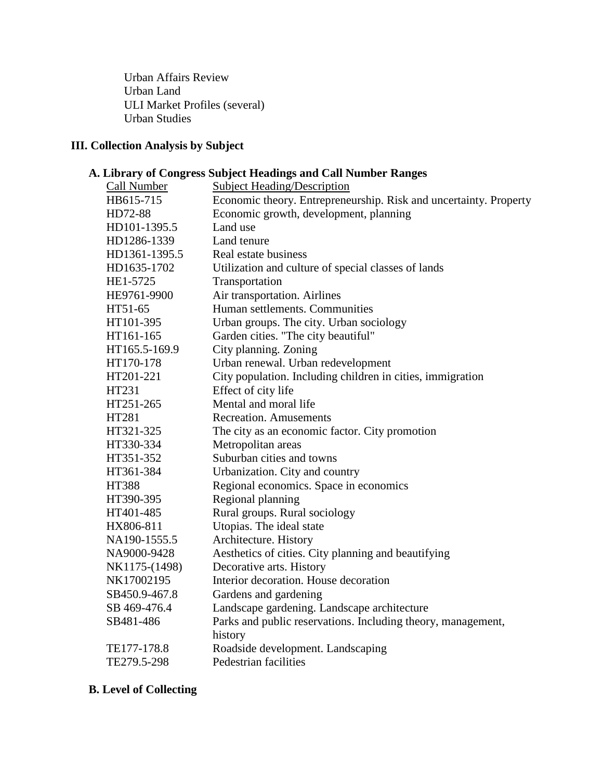Urban Affairs Review Urban Land ULI Market Profiles (several) Urban Studies

## **III. Collection Analysis by Subject**

## **A. Library of Congress Subject Headings and Call Number Ranges**

| Call Number   | <b>Subject Heading/Description</b>                                |  |  |
|---------------|-------------------------------------------------------------------|--|--|
| HB615-715     | Economic theory. Entrepreneurship. Risk and uncertainty. Property |  |  |
| HD72-88       | Economic growth, development, planning                            |  |  |
| HD101-1395.5  | Land use                                                          |  |  |
| HD1286-1339   | Land tenure                                                       |  |  |
| HD1361-1395.5 | Real estate business                                              |  |  |
| HD1635-1702   | Utilization and culture of special classes of lands               |  |  |
| HE1-5725      | Transportation                                                    |  |  |
| HE9761-9900   | Air transportation. Airlines                                      |  |  |
| HT51-65       | Human settlements. Communities                                    |  |  |
| HT101-395     | Urban groups. The city. Urban sociology                           |  |  |
| HT161-165     | Garden cities. "The city beautiful"                               |  |  |
| HT165.5-169.9 | City planning. Zoning                                             |  |  |
| HT170-178     | Urban renewal. Urban redevelopment                                |  |  |
| HT201-221     | City population. Including children in cities, immigration        |  |  |
| HT231         | Effect of city life                                               |  |  |
| HT251-265     | Mental and moral life                                             |  |  |
| HT281         | <b>Recreation. Amusements</b>                                     |  |  |
| HT321-325     | The city as an economic factor. City promotion                    |  |  |
| HT330-334     | Metropolitan areas                                                |  |  |
| HT351-352     | Suburban cities and towns                                         |  |  |
| HT361-384     | Urbanization. City and country                                    |  |  |
| <b>HT388</b>  | Regional economics. Space in economics                            |  |  |
| HT390-395     | Regional planning                                                 |  |  |
| HT401-485     | Rural groups. Rural sociology                                     |  |  |
| HX806-811     | Utopias. The ideal state                                          |  |  |
| NA190-1555.5  | Architecture. History                                             |  |  |
| NA9000-9428   | Aesthetics of cities. City planning and beautifying               |  |  |
| NK1175-(1498) | Decorative arts. History                                          |  |  |
| NK17002195    | Interior decoration. House decoration                             |  |  |
| SB450.9-467.8 | Gardens and gardening                                             |  |  |
| SB 469-476.4  | Landscape gardening. Landscape architecture                       |  |  |
| SB481-486     | Parks and public reservations. Including theory, management,      |  |  |
|               | history                                                           |  |  |
| TE177-178.8   | Roadside development. Landscaping                                 |  |  |
| TE279.5-298   | Pedestrian facilities                                             |  |  |

## **B. Level of Collecting**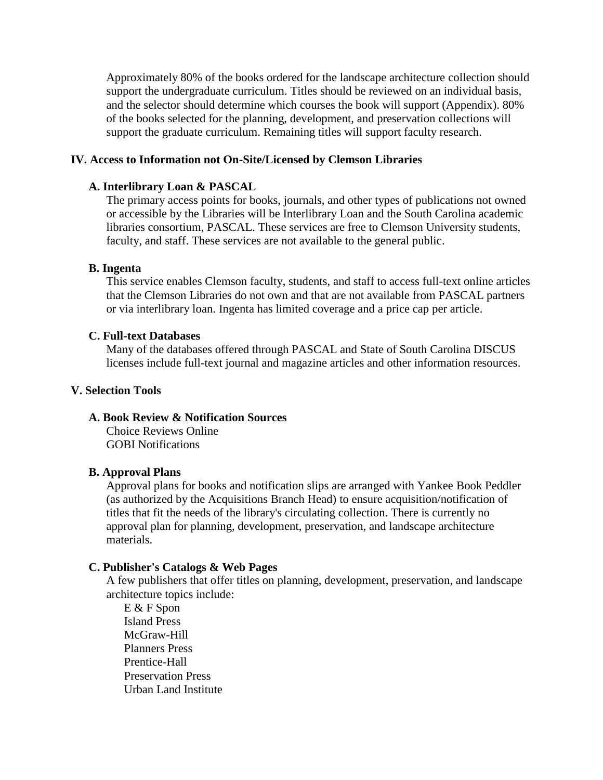Approximately 80% of the books ordered for the landscape architecture collection should support the undergraduate curriculum. Titles should be reviewed on an individual basis, and the selector should determine which courses the book will support (Appendix). 80% of the books selected for the planning, development, and preservation collections will support the graduate curriculum. Remaining titles will support faculty research.

## **IV. Access to Information not On-Site/Licensed by Clemson Libraries**

#### **A. Interlibrary Loan & PASCAL**

The primary access points for books, journals, and other types of publications not owned or accessible by the Libraries will be Interlibrary Loan and the South Carolina academic libraries consortium, PASCAL. These services are free to Clemson University students, faculty, and staff. These services are not available to the general public.

#### **B. Ingenta**

This service enables Clemson faculty, students, and staff to access full-text online articles that the Clemson Libraries do not own and that are not available from PASCAL partners or via interlibrary loan. Ingenta has limited coverage and a price cap per article.

#### **C. Full-text Databases**

Many of the databases offered through PASCAL and State of South Carolina DISCUS licenses include full-text journal and magazine articles and other information resources.

### **V. Selection Tools**

## **A. Book Review & Notification Sources**

Choice Reviews Online GOBI Notifications

#### **B. Approval Plans**

Approval plans for books and notification slips are arranged with Yankee Book Peddler (as authorized by the Acquisitions Branch Head) to ensure acquisition/notification of titles that fit the needs of the library's circulating collection. There is currently no approval plan for planning, development, preservation, and landscape architecture materials.

#### **C. Publisher's Catalogs & Web Pages**

A few publishers that offer titles on planning, development, preservation, and landscape architecture topics include:

E & F Spon Island Press McGraw-Hill Planners Press Prentice-Hall Preservation Press Urban Land Institute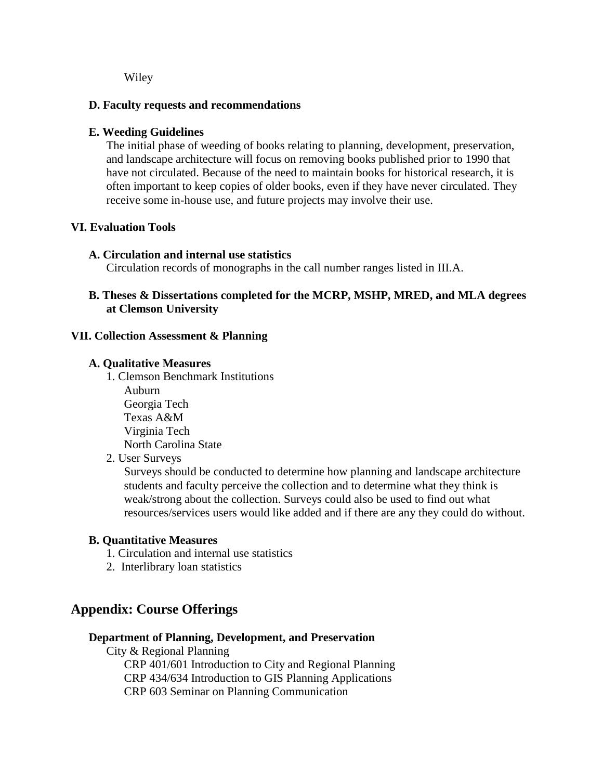Wiley

## **D. Faculty requests and recommendations**

## **E. Weeding Guidelines**

The initial phase of weeding of books relating to planning, development, preservation, and landscape architecture will focus on removing books published prior to 1990 that have not circulated. Because of the need to maintain books for historical research, it is often important to keep copies of older books, even if they have never circulated. They receive some in-house use, and future projects may involve their use.

## **VI. Evaluation Tools**

## **A. Circulation and internal use statistics**

Circulation records of monographs in the call number ranges listed in III.A.

## **B. Theses & Dissertations completed for the MCRP, MSHP, MRED, and MLA degrees at Clemson University**

## **VII. Collection Assessment & Planning**

## **A. Qualitative Measures**

1. Clemson Benchmark Institutions Auburn Georgia Tech Texas A&M Virginia Tech North Carolina State

## 2. User Surveys

Surveys should be conducted to determine how planning and landscape architecture students and faculty perceive the collection and to determine what they think is weak/strong about the collection. Surveys could also be used to find out what resources/services users would like added and if there are any they could do without.

## **B. Quantitative Measures**

- 1. Circulation and internal use statistics
- 2. Interlibrary loan statistics

## **Appendix: Course Offerings**

## **Department of Planning, Development, and Preservation**

City & Regional Planning CRP 401/601 Introduction to City and Regional Planning CRP 434/634 Introduction to GIS Planning Applications CRP 603 Seminar on Planning Communication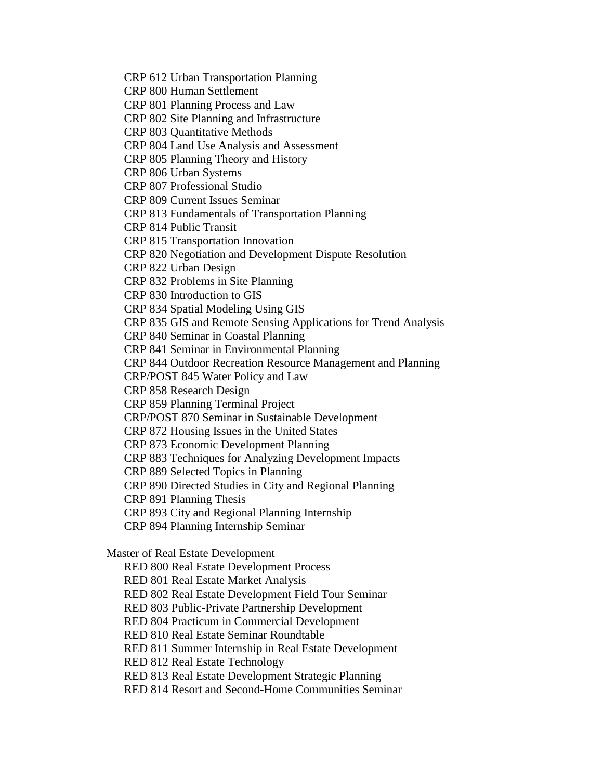CRP 612 Urban Transportation Planning

CRP 800 Human Settlement

CRP 801 Planning Process and Law

CRP 802 Site Planning and Infrastructure

CRP 803 Quantitative Methods

CRP 804 Land Use Analysis and Assessment

CRP 805 Planning Theory and History

CRP 806 Urban Systems

CRP 807 Professional Studio

CRP 809 Current Issues Seminar

CRP 813 Fundamentals of Transportation Planning

CRP 814 Public Transit

CRP 815 Transportation Innovation

CRP 820 Negotiation and Development Dispute Resolution

CRP 822 Urban Design

CRP 832 Problems in Site Planning

CRP 830 Introduction to GIS

CRP 834 Spatial Modeling Using GIS

CRP 835 GIS and Remote Sensing Applications for Trend Analysis

CRP 840 Seminar in Coastal Planning

CRP 841 Seminar in Environmental Planning

CRP 844 Outdoor Recreation Resource Management and Planning

CRP/POST 845 Water Policy and Law

CRP 858 Research Design

CRP 859 Planning Terminal Project

CRP/POST 870 Seminar in Sustainable Development

CRP 872 Housing Issues in the United States

CRP 873 Economic Development Planning

CRP 883 Techniques for Analyzing Development Impacts

CRP 889 Selected Topics in Planning

CRP 890 Directed Studies in City and Regional Planning

CRP 891 Planning Thesis

CRP 893 City and Regional Planning Internship

CRP 894 Planning Internship Seminar

Master of Real Estate Development

RED 800 Real Estate Development Process

RED 801 Real Estate Market Analysis

RED 802 Real Estate Development Field Tour Seminar

RED 803 Public-Private Partnership Development

RED 804 Practicum in Commercial Development

RED 810 Real Estate Seminar Roundtable

RED 811 Summer Internship in Real Estate Development

RED 812 Real Estate Technology

RED 813 Real Estate Development Strategic Planning

RED 814 Resort and Second-Home Communities Seminar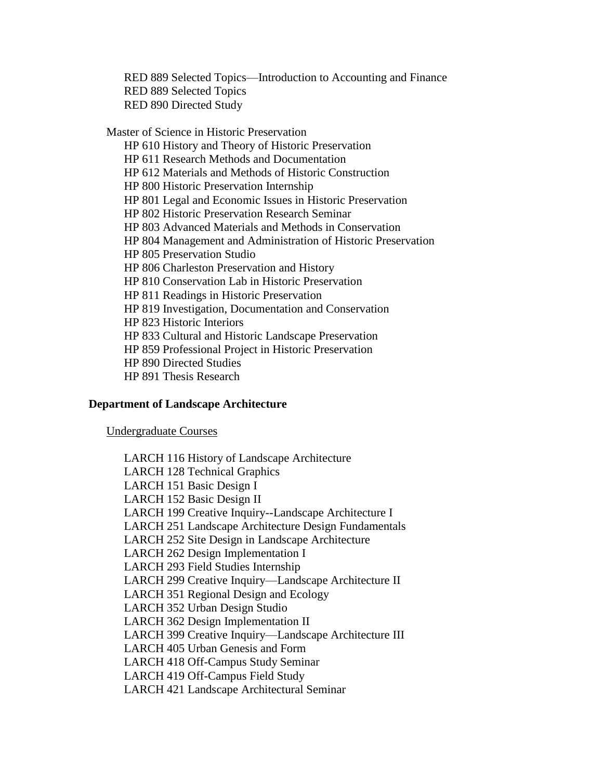RED 889 Selected Topics—Introduction to Accounting and Finance RED 889 Selected Topics RED 890 Directed Study

Master of Science in Historic Preservation HP 610 History and Theory of Historic Preservation HP 611 Research Methods and Documentation HP 612 Materials and Methods of Historic Construction HP 800 Historic Preservation Internship HP 801 Legal and Economic Issues in Historic Preservation HP 802 Historic Preservation Research Seminar HP 803 Advanced Materials and Methods in Conservation HP 804 Management and Administration of Historic Preservation HP 805 Preservation Studio HP 806 Charleston Preservation and History HP 810 Conservation Lab in Historic Preservation HP 811 Readings in Historic Preservation HP 819 Investigation, Documentation and Conservation HP 823 Historic Interiors HP 833 Cultural and Historic Landscape Preservation HP 859 Professional Project in Historic Preservation HP 890 Directed Studies HP 891 Thesis Research

## **Department of Landscape Architecture**

Undergraduate Courses

LARCH 116 History of Landscape Architecture LARCH 128 Technical Graphics LARCH 151 Basic Design I LARCH 152 Basic Design II LARCH 199 Creative Inquiry--Landscape Architecture I LARCH 251 Landscape Architecture Design Fundamentals LARCH 252 Site Design in Landscape Architecture LARCH 262 Design Implementation I LARCH 293 Field Studies Internship LARCH 299 Creative Inquiry—Landscape Architecture II LARCH 351 Regional Design and Ecology LARCH 352 Urban Design Studio LARCH 362 Design Implementation II LARCH 399 Creative Inquiry—Landscape Architecture III LARCH 405 Urban Genesis and Form LARCH 418 Off-Campus Study Seminar LARCH 419 Off-Campus Field Study LARCH 421 Landscape Architectural Seminar